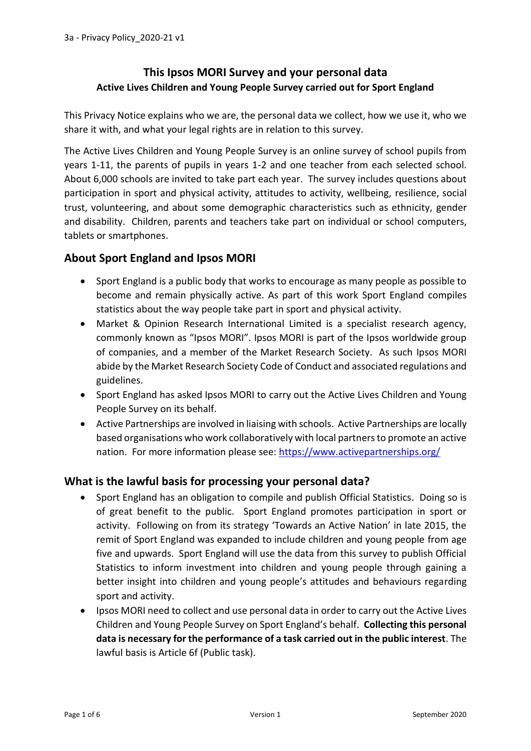# **This Ipsos MORI Survey and your personal data Active Lives Children and Young People Survey carried out for Sport England**

This Privacy Notice explains who we are, the personal data we collect, how we use it, who we share it with, and what your legal rights are in relation to this survey.

The Active Lives Children and Young People Survey is an online survey of school pupils from years 1-11, the parents of pupils in years 1-2 and one teacher from each selected school. About 6,000 schools are invited to take part each year. The survey includes questions about participation in sport and physical activity, attitudes to activity, wellbeing, resilience, social trust, volunteering, and about some demographic characteristics such as ethnicity, gender and disability. Children, parents and teachers take part on individual or school computers, tablets or smartphones.

### **About Sport England and Ipsos MORI**

- Sport England is a public body that works to encourage as many people as possible to become and remain physically active. As part of this work Sport England compiles statistics about the way people take part in sport and physical activity.
- Market & Opinion Research International Limited is a specialist research agency, commonly known as "Ipsos MORI". Ipsos MORI is part of the Ipsos worldwide group of companies, and a member of the Market Research Society. As such Ipsos MORI abide by the Market Research Society Code of Conduct and associated regulations and guidelines.
- Sport England has asked Ipsos MORI to carry out the Active Lives Children and Young People Survey on its behalf.
- Active Partnerships are involved in liaising with schools. Active Partnerships are locally based organisations who work collaboratively with local partners to promote an active nation. For more information please see:<https://www.activepartnerships.org/>

### **What is the lawful basis for processing your personal data?**

- Sport England has an obligation to compile and publish Official Statistics. Doing so is of great benefit to the public. Sport England promotes participation in sport or activity. Following on from its strategy 'Towards an Active Nation' in late 2015, the remit of Sport England was expanded to include children and young people from age five and upwards. Sport England will use the data from this survey to publish Official Statistics to inform investment into children and young people through gaining a better insight into children and young people's attitudes and behaviours regarding sport and activity.
- Ipsos MORI need to collect and use personal data in order to carry out the Active Lives Children and Young People Survey on Sport England's behalf. **Collecting this personal data is necessary for the performance of a task carried out in the public interest**. The lawful basis is Article 6f (Public task).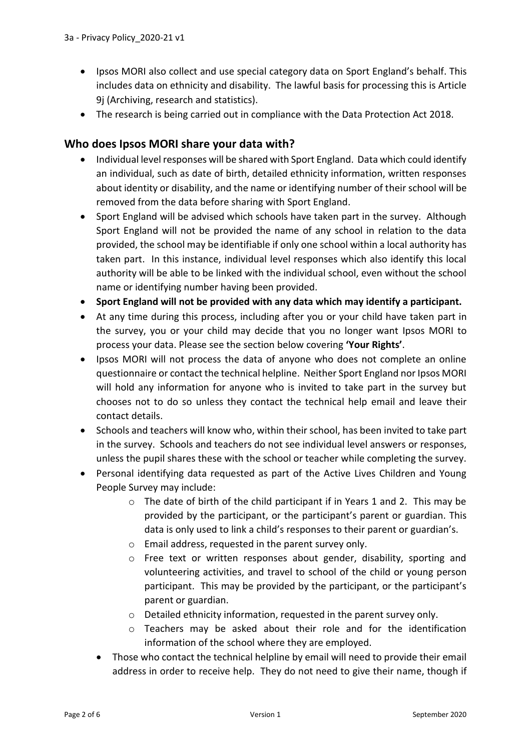- Ipsos MORI also collect and use special category data on Sport England's behalf. This includes data on ethnicity and disability. The lawful basis for processing this is Article 9j (Archiving, research and statistics).
- The research is being carried out in compliance with the Data Protection Act 2018.

### **Who does Ipsos MORI share your data with?**

- Individual level responses will be shared with Sport England. Data which could identify an individual, such as date of birth, detailed ethnicity information, written responses about identity or disability, and the name or identifying number of their school will be removed from the data before sharing with Sport England.
- Sport England will be advised which schools have taken part in the survey. Although Sport England will not be provided the name of any school in relation to the data provided, the school may be identifiable if only one school within a local authority has taken part. In this instance, individual level responses which also identify this local authority will be able to be linked with the individual school, even without the school name or identifying number having been provided.
- **Sport England will not be provided with any data which may identify a participant.**
- At any time during this process, including after you or your child have taken part in the survey, you or your child may decide that you no longer want Ipsos MORI to process your data. Please see the section below covering **'Your Rights'**.
- Ipsos MORI will not process the data of anyone who does not complete an online questionnaire or contact the technical helpline. Neither Sport England nor Ipsos MORI will hold any information for anyone who is invited to take part in the survey but chooses not to do so unless they contact the technical help email and leave their contact details.
- Schools and teachers will know who, within their school, has been invited to take part in the survey. Schools and teachers do not see individual level answers or responses, unless the pupil shares these with the school or teacher while completing the survey.
- Personal identifying data requested as part of the Active Lives Children and Young People Survey may include:
	- o The date of birth of the child participant if in Years 1 and 2. This may be provided by the participant, or the participant's parent or guardian. This data is only used to link a child's responses to their parent or guardian's.
	- o Email address, requested in the parent survey only.
	- o Free text or written responses about gender, disability, sporting and volunteering activities, and travel to school of the child or young person participant. This may be provided by the participant, or the participant's parent or guardian.
	- o Detailed ethnicity information, requested in the parent survey only.
	- o Teachers may be asked about their role and for the identification information of the school where they are employed.
	- Those who contact the technical helpline by email will need to provide their email address in order to receive help. They do not need to give their name, though if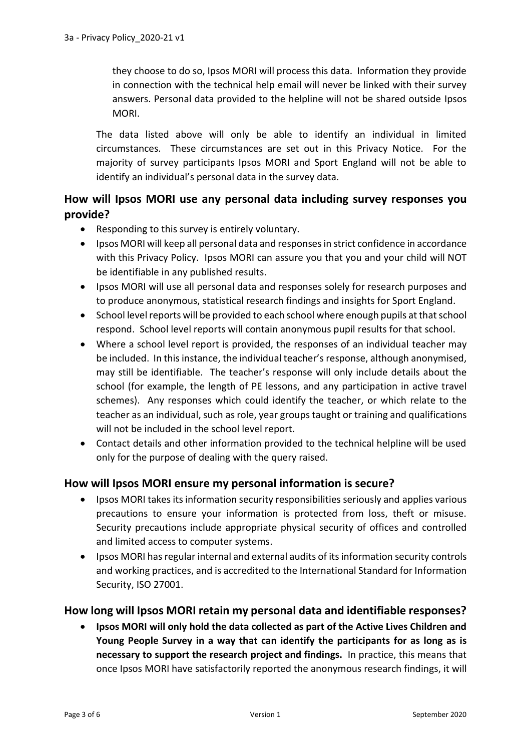they choose to do so, Ipsos MORI will process this data. Information they provide in connection with the technical help email will never be linked with their survey answers. Personal data provided to the helpline will not be shared outside Ipsos MORI.

The data listed above will only be able to identify an individual in limited circumstances. These circumstances are set out in this Privacy Notice. For the majority of survey participants Ipsos MORI and Sport England will not be able to identify an individual's personal data in the survey data.

# **How will Ipsos MORI use any personal data including survey responses you provide?**

- Responding to this survey is entirely voluntary.
- Ipsos MORI will keep all personal data and responses in strict confidence in accordance with this Privacy Policy. Ipsos MORI can assure you that you and your child will NOT be identifiable in any published results.
- Ipsos MORI will use all personal data and responses solely for research purposes and to produce anonymous, statistical research findings and insights for Sport England.
- School level reports will be provided to each school where enough pupils at that school respond. School level reports will contain anonymous pupil results for that school.
- Where a school level report is provided, the responses of an individual teacher may be included. In this instance, the individual teacher's response, although anonymised, may still be identifiable. The teacher's response will only include details about the school (for example, the length of PE lessons, and any participation in active travel schemes). Any responses which could identify the teacher, or which relate to the teacher as an individual, such as role, year groups taught or training and qualifications will not be included in the school level report.
- Contact details and other information provided to the technical helpline will be used only for the purpose of dealing with the query raised.

## **How will Ipsos MORI ensure my personal information is secure?**

- Ipsos MORI takes its information security responsibilities seriously and applies various precautions to ensure your information is protected from loss, theft or misuse. Security precautions include appropriate physical security of offices and controlled and limited access to computer systems.
- Ipsos MORI has regular internal and external audits of its information security controls and working practices, and is accredited to the International Standard for Information Security, ISO 27001.

### **How long will Ipsos MORI retain my personal data and identifiable responses?**

• **Ipsos MORI will only hold the data collected as part of the Active Lives Children and Young People Survey in a way that can identify the participants for as long as is necessary to support the research project and findings.** In practice, this means that once Ipsos MORI have satisfactorily reported the anonymous research findings, it will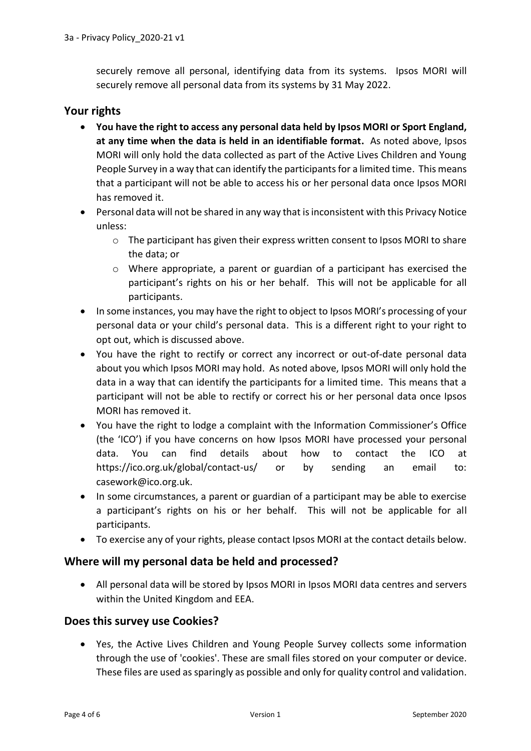securely remove all personal, identifying data from its systems. Ipsos MORI will securely remove all personal data from its systems by 31 May 2022.

#### **Your rights**

- **You have the right to access any personal data held by Ipsos MORI or Sport England, at any time when the data is held in an identifiable format.** As noted above, Ipsos MORI will only hold the data collected as part of the Active Lives Children and Young People Survey in a way that can identify the participants for a limited time. This means that a participant will not be able to access his or her personal data once Ipsos MORI has removed it.
- Personal data will not be shared in any way that is inconsistent with this Privacy Notice unless:
	- $\circ$  The participant has given their express written consent to Ipsos MORI to share the data; or
	- o Where appropriate, a parent or guardian of a participant has exercised the participant's rights on his or her behalf. This will not be applicable for all participants.
- In some instances, you may have the right to object to Ipsos MORI's processing of your personal data or your child's personal data. This is a different right to your right to opt out, which is discussed above.
- You have the right to rectify or correct any incorrect or out-of-date personal data about you which Ipsos MORI may hold. As noted above, Ipsos MORI will only hold the data in a way that can identify the participants for a limited time. This means that a participant will not be able to rectify or correct his or her personal data once Ipsos MORI has removed it.
- You have the right to lodge a complaint with the Information Commissioner's Office (the 'ICO') if you have concerns on how Ipsos MORI have processed your personal data. You can find details about how to contact the ICO at <https://ico.org.uk/global/contact-us/> or by sending an email to: [casework@ico.org.uk.](mailto:casework@ico.org.uk)
- In some circumstances, a parent or guardian of a participant may be able to exercise a participant's rights on his or her behalf. This will not be applicable for all participants.
- To exercise any of your rights, please contact Ipsos MORI at the contact details below.

#### **Where will my personal data be held and processed?**

• All personal data will be stored by Ipsos MORI in Ipsos MORI data centres and servers within the United Kingdom and EEA.

#### **Does this survey use Cookies?**

• Yes, the Active Lives Children and Young People Survey collects some information through the use of 'cookies'. These are small files stored on your computer or device. These files are used as sparingly as possible and only for quality control and validation.